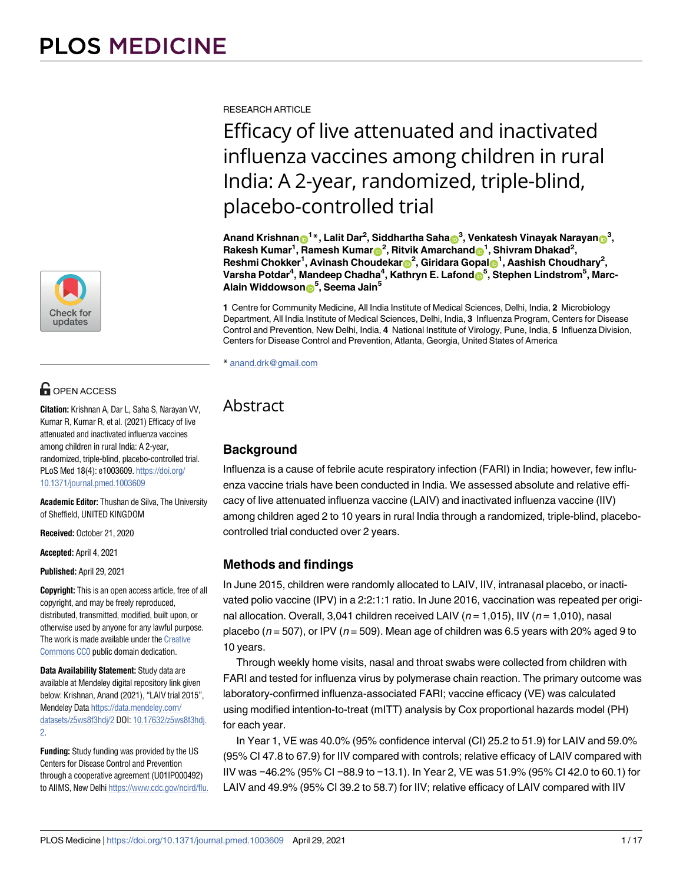

## **OPEN ACCESS**

**Citation:** Krishnan A, Dar L, Saha S, Narayan VV, Kumar R, Kumar R, et al. (2021) Efficacy of live attenuated and inactivated influenza vaccines among children in rural India: A 2-year, randomized, triple-blind, placebo-controlled trial. PLoS Med 18(4): e1003609. [https://doi.org/](https://doi.org/10.1371/journal.pmed.1003609) [10.1371/journal.pmed.1003609](https://doi.org/10.1371/journal.pmed.1003609)

**Academic Editor:** Thushan de Silva, The University of Sheffield, UNITED KINGDOM

**Received:** October 21, 2020

**Accepted:** April 4, 2021

**Published:** April 29, 2021

**Copyright:** This is an open access article, free of all copyright, and may be freely reproduced, distributed, transmitted, modified, built upon, or otherwise used by anyone for any lawful purpose. The work is made available under the [Creative](https://creativecommons.org/publicdomain/zero/1.0/) [Commons CC0](https://creativecommons.org/publicdomain/zero/1.0/) public domain dedication.

**Data Availability Statement:** Study data are available at Mendeley digital repository link given below: Krishnan, Anand (2021), "LAIV trial 2015", Mendeley Data [https://data.mendeley.com/](https://data.mendeley.com/datasets/z5ws8f3hdj/2) [datasets/z5ws8f3hdj/2](https://data.mendeley.com/datasets/z5ws8f3hdj/2) DOI: [10.17632/z5ws8f3hdj.](https://doi.org/10.17632/z5ws8f3hdj.2) [2.](https://doi.org/10.17632/z5ws8f3hdj.2)

**Funding:** Study funding was provided by the US Centers for Disease Control and Prevention through a cooperative agreement (U01IP000492) to AIIMS, New Delhi [https://www.cdc.gov/ncird/flu.](https://www.cdc.gov/ncird/flu.html) RESEARCH ARTICLE

# Efficacy of live attenuated and inactivated influenza vaccines among children in rural India: A 2-year, randomized, triple-blind, placebo-controlled trial

 $\Lambda$ nand Krishnan $\mathrm{D}^{1*}$ , Lalit Dar<sup>2</sup>, Siddhartha Saha $\mathrm{D}^{3}$ , Venkatesh Vinayak Narayan $\mathrm{D}^{3}$ ,  $\mathsf{R}$ akesh Kumar<sup>1</sup>, Ramesh Kumar $\mathsf{D}^2$ , Ritvik Amarchand $\mathsf{D}^1$ , Shivram Dhakad<sup>2</sup>,  $\mathsf{Reshmi}\ \mathsf{Chokker}^1, \mathsf{Avinash}\ \mathsf{Choudekar} \circledcirc^2, \mathsf{Giridara}\ \mathsf{Gopal} \circledcirc^1, \mathsf{Aashish}\ \mathsf{Choudhary}^2,$ **Varsha Potdar<sup>4</sup> , Mandeep Chadha<sup>4</sup> , Kathryn E. Lafond[ID](https://orcid.org/0000-0001-5018-9591)<sup>5</sup> , Stephen Lindstrom<sup>5</sup> , Marc-Alain Widdowson[ID](https://orcid.org/0000-0002-0682-6933)<sup>5</sup> , Seema Jain<sup>5</sup>**

**1** Centre for Community Medicine, All India Institute of Medical Sciences, Delhi, India, **2** Microbiology Department, All India Institute of Medical Sciences, Delhi, India, **3** Influenza Program, Centers for Disease Control and Prevention, New Delhi, India, **4** National Institute of Virology, Pune, India, **5** Influenza Division, Centers for Disease Control and Prevention, Atlanta, Georgia, United States of America

\* anand.drk@gmail.com

## $\Delta$ bstract $\Delta$

## **Background**

Influenza is a cause of febrile acute respiratory infection (FARI) in India; however, few influenza vaccine trials have been conducted in India. We assessed absolute and relative efficacy of live attenuated influenza vaccine (LAIV) and inactivated influenza vaccine (IIV) among children aged 2 to 10 years in rural India through a randomized, triple-blind, placebocontrolled trial conducted over 2 years.

## **Methods and findings**

In June 2015, children were randomly allocated to LAIV, IIV, intranasal placebo, or inactivated polio vaccine (IPV) in a 2:2:1:1 ratio. In June 2016, vaccination was repeated per original allocation. Overall, 3,041 children received LAIV ( $n = 1,015$ ), IIV ( $n = 1,010$ ), nasal placebo ( $n = 507$ ), or IPV ( $n = 509$ ). Mean age of children was 6.5 years with 20% aged 9 to 10 years.

Through weekly home visits, nasal and throat swabs were collected from children with FARI and tested for influenza virus by polymerase chain reaction. The primary outcome was laboratory-confirmed influenza-associated FARI; vaccine efficacy (VE) was calculated using modified intention-to-treat (mITT) analysis by Cox proportional hazards model (PH) for each year.

In Year 1, VE was 40.0% (95% confidence interval (CI) 25.2 to 51.9) for LAIV and 59.0% (95% CI 47.8 to 67.9) for IIV compared with controls; relative efficacy of LAIV compared with IIV was −46.2% (95% CI −88.9 to −13.1). In Year 2, VE was 51.9% (95% CI 42.0 to 60.1) for LAIV and 49.9% (95% CI 39.2 to 58.7) for IIV; relative efficacy of LAIV compared with IIV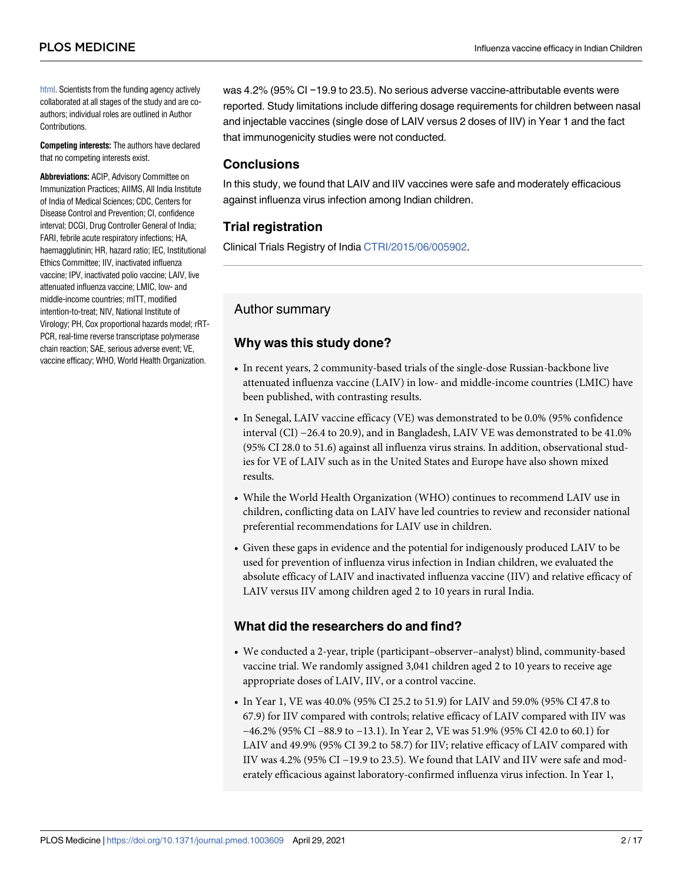[html](https://www.cdc.gov/ncird/flu.html). Scientists from the funding agency actively collaborated at all stages of the study and are coauthors; individual roles are outlined in Author Contributions.

**Competing interests:** The authors have declared that no competing interests exist.

**Abbreviations:** ACIP, Advisory Committee on Immunization Practices; AIIMS, All India Institute of India of Medical Sciences; CDC, Centers for Disease Control and Prevention; CI, confidence interval; DCGI, Drug Controller General of India; FARI, febrile acute respiratory infections; HA, haemagglutinin; HR, hazard ratio; IEC, Institutional Ethics Committee; IIV, inactivated influenza vaccine; IPV, inactivated polio vaccine; LAIV, live attenuated influenza vaccine; LMIC, low- and middle-income countries; mITT, modified intention-to-treat; NIV, National Institute of Virology; PH, Cox proportional hazards model; rRT-PCR, real-time reverse transcriptase polymerase chain reaction; SAE, serious adverse event; VE, vaccine efficacy; WHO, World Health Organization.

was 4.2% (95% CI −19.9 to 23.5). No serious adverse vaccine-attributable events were reported. Study limitations include differing dosage requirements for children between nasal and injectable vaccines (single dose of LAIV versus 2 doses of IIV) in Year 1 and the fact that immunogenicity studies were not conducted.

### **Conclusions**

In this study, we found that LAIV and IIV vaccines were safe and moderately efficacious against influenza virus infection among Indian children.

## **Trial registration**

Clinical Trials Registry of India [CTRI/2015/06/005902.](http://ctri.nic.in/Clinicaltrials/pdf_generate.php?trialid=10921&EncHid=&modid=&compid=%27,%2710921det%27)

## Author summary

## **Why was this study done?**

- In recent years, 2 community-based trials of the single-dose Russian-backbone live attenuated influenza vaccine (LAIV) in low- and middle-income countries (LMIC) have been published, with contrasting results.
- In Senegal, LAIV vaccine efficacy (VE) was demonstrated to be 0.0% (95% confidence interval (CI) −26.4 to 20.9), and in Bangladesh, LAIV VE was demonstrated to be 41.0% (95% CI 28.0 to 51.6) against all influenza virus strains. In addition, observational studies for VE of LAIV such as in the United States and Europe have also shown mixed results.
- While the World Health Organization (WHO) continues to recommend LAIV use in children, conflicting data on LAIV have led countries to review and reconsider national preferential recommendations for LAIV use in children.
- Given these gaps in evidence and the potential for indigenously produced LAIV to be used for prevention of influenza virus infection in Indian children, we evaluated the absolute efficacy of LAIV and inactivated influenza vaccine (IIV) and relative efficacy of LAIV versus IIV among children aged 2 to 10 years in rural India.

## **What did the researchers do and find?**

- We conducted a 2-year, triple (participant–observer–analyst) blind, community-based vaccine trial. We randomly assigned 3,041 children aged 2 to 10 years to receive age appropriate doses of LAIV, IIV, or a control vaccine.
- In Year 1, VE was 40.0% (95% CI 25.2 to 51.9) for LAIV and 59.0% (95% CI 47.8 to 67.9) for IIV compared with controls; relative efficacy of LAIV compared with IIV was −46.2% (95% CI −88.9 to −13.1). In Year 2, VE was 51.9% (95% CI 42.0 to 60.1) for LAIV and 49.9% (95% CI 39.2 to 58.7) for IIV; relative efficacy of LAIV compared with IIV was 4.2% (95% CI −19.9 to 23.5). We found that LAIV and IIV were safe and moderately efficacious against laboratory-confirmed influenza virus infection. In Year 1,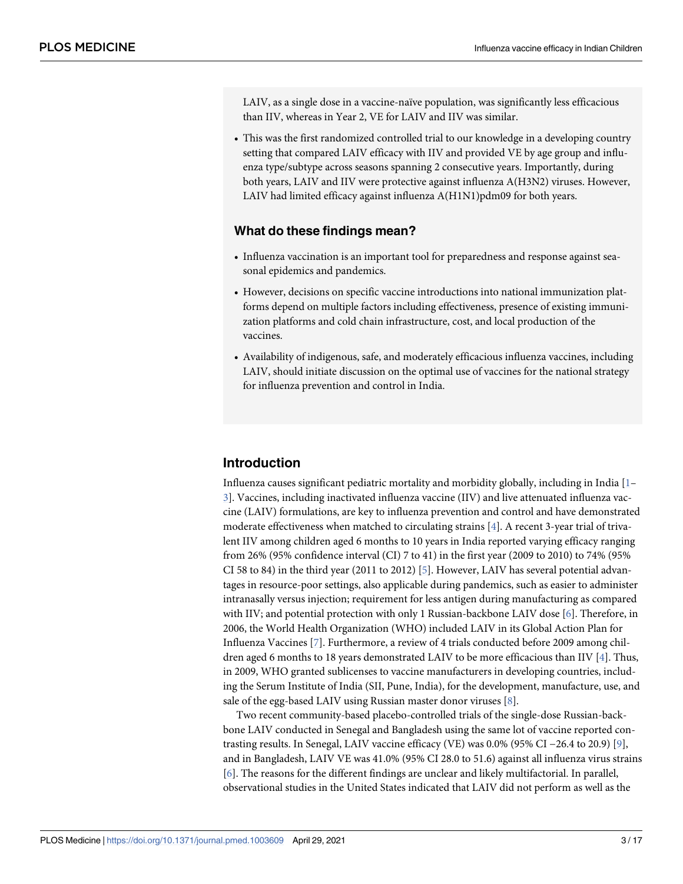<span id="page-2-0"></span>LAIV, as a single dose in a vaccine-naïve population, was significantly less efficacious than IIV, whereas in Year 2, VE for LAIV and IIV was similar.

• This was the first randomized controlled trial to our knowledge in a developing country setting that compared LAIV efficacy with IIV and provided VE by age group and influenza type/subtype across seasons spanning 2 consecutive years. Importantly, during both years, LAIV and IIV were protective against influenza A(H3N2) viruses. However, LAIV had limited efficacy against influenza A(H1N1)pdm09 for both years.

#### **What do these findings mean?**

- Influenza vaccination is an important tool for preparedness and response against seasonal epidemics and pandemics.
- However, decisions on specific vaccine introductions into national immunization platforms depend on multiple factors including effectiveness, presence of existing immunization platforms and cold chain infrastructure, cost, and local production of the vaccines.
- Availability of indigenous, safe, and moderately efficacious influenza vaccines, including LAIV, should initiate discussion on the optimal use of vaccines for the national strategy for influenza prevention and control in India.

#### **Introduction**

Influenza causes significant pediatric mortality and morbidity globally, including in India  $[1]$  $[1]$  $[1]$ [3\]](#page-15-0). Vaccines, including inactivated influenza vaccine (IIV) and live attenuated influenza vaccine (LAIV) formulations, are key to influenza prevention and control and have demonstrated moderate effectiveness when matched to circulating strains  $[4]$  $[4]$ . A recent 3-year trial of trivalent IIV among children aged 6 months to 10 years in India reported varying efficacy ranging from 26% (95% confidence interval (CI) 7 to 41) in the first year (2009 to 2010) to 74% (95% CI 58 to 84) in the third year (2011 to 2012) [ $\frac{5}{2}$ ]. However, LAIV has several potential advantages in resource-poor settings, also applicable during pandemics, such as easier to administer intranasally versus injection; requirement for less antigen during manufacturing as compared with IIV; and potential protection with only 1 Russian-backbone LAIV dose [[6](#page-15-0)]. Therefore, in 2006, the World Health Organization (WHO) included LAIV in its Global Action Plan for Influenza Vaccines [\[7\]](#page-15-0). Furthermore, a review of 4 trials conducted before 2009 among children aged 6 months to 18 years demonstrated LAIV to be more efficacious than IIV [[4](#page-15-0)]. Thus, in 2009, WHO granted sublicenses to vaccine manufacturers in developing countries, including the Serum Institute of India (SII, Pune, India), for the development, manufacture, use, and sale of the egg-based LAIV using Russian master donor viruses  $[8]$  $[8]$ .

Two recent community-based placebo-controlled trials of the single-dose Russian-backbone LAIV conducted in Senegal and Bangladesh using the same lot of vaccine reported contrasting results. In Senegal, LAIV vaccine efficacy (VE) was 0.0% (95% CI −26.4 to 20.9) [\[9\]](#page-15-0), and in Bangladesh, LAIV VE was 41.0% (95% CI 28.0 to 51.6) against all influenza virus strains [\[6](#page-15-0)]. The reasons for the different findings are unclear and likely multifactorial. In parallel, observational studies in the United States indicated that LAIV did not perform as well as the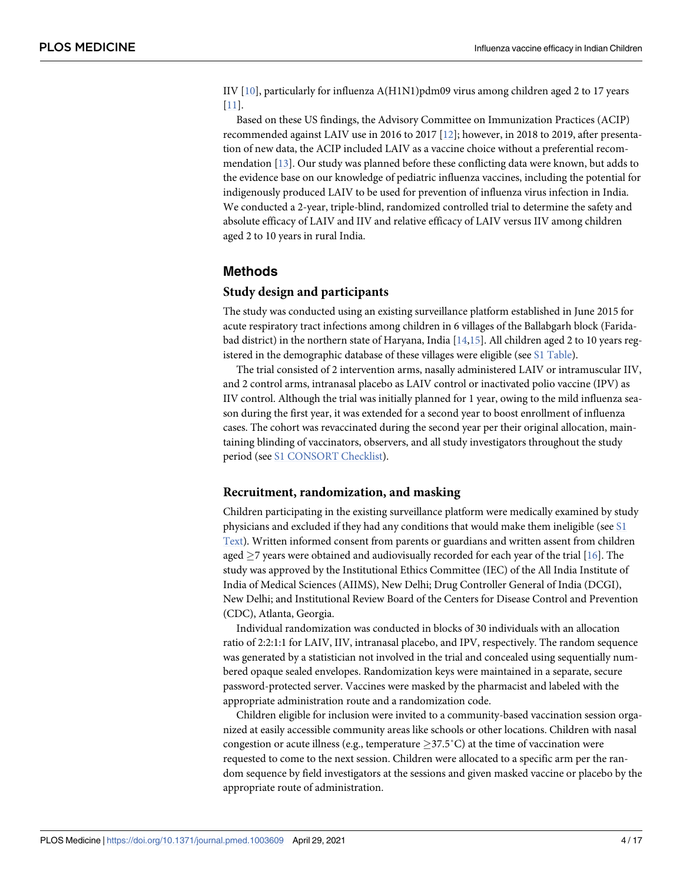<span id="page-3-0"></span>IIV  $[10]$ , particularly for influenza A(H1N1)pdm09 virus among children aged 2 to 17 years [\[11\]](#page-15-0).

Based on these US findings, the Advisory Committee on Immunization Practices (ACIP) recommended against LAIV use in 2016 to 2017 [\[12\]](#page-15-0); however, in 2018 to 2019, after presentation of new data, the ACIP included LAIV as a vaccine choice without a preferential recommendation [\[13\]](#page-15-0). Our study was planned before these conflicting data were known, but adds to the evidence base on our knowledge of pediatric influenza vaccines, including the potential for indigenously produced LAIV to be used for prevention of influenza virus infection in India. We conducted a 2-year, triple-blind, randomized controlled trial to determine the safety and absolute efficacy of LAIV and IIV and relative efficacy of LAIV versus IIV among children aged 2 to 10 years in rural India.

#### **Methods**

#### **Study design and participants**

The study was conducted using an existing surveillance platform established in June 2015 for acute respiratory tract infections among children in 6 villages of the Ballabgarh block (Faridabad district) in the northern state of Haryana, India [\[14,15\]](#page-16-0). All children aged 2 to 10 years reg-istered in the demographic database of these villages were eligible (see [S1 Table\)](#page-14-0).

The trial consisted of 2 intervention arms, nasally administered LAIV or intramuscular IIV, and 2 control arms, intranasal placebo as LAIV control or inactivated polio vaccine (IPV) as IIV control. Although the trial was initially planned for 1 year, owing to the mild influenza season during the first year, it was extended for a second year to boost enrollment of influenza cases. The cohort was revaccinated during the second year per their original allocation, maintaining blinding of vaccinators, observers, and all study investigators throughout the study period (see [S1 CONSORT Checklist\)](#page-14-0).

#### **Recruitment, randomization, and masking**

Children participating in the existing surveillance platform were medically examined by study physicians and excluded if they had any conditions that would make them ineligible (see [S1](#page-14-0) [Text\)](#page-14-0). Written informed consent from parents or guardians and written assent from children aged  $\geq$ 7 years were obtained and audiovisually recorded for each year of the trial [\[16\]](#page-16-0). The study was approved by the Institutional Ethics Committee (IEC) of the All India Institute of India of Medical Sciences (AIIMS), New Delhi; Drug Controller General of India (DCGI), New Delhi; and Institutional Review Board of the Centers for Disease Control and Prevention (CDC), Atlanta, Georgia.

Individual randomization was conducted in blocks of 30 individuals with an allocation ratio of 2:2:1:1 for LAIV, IIV, intranasal placebo, and IPV, respectively. The random sequence was generated by a statistician not involved in the trial and concealed using sequentially numbered opaque sealed envelopes. Randomization keys were maintained in a separate, secure password-protected server. Vaccines were masked by the pharmacist and labeled with the appropriate administration route and a randomization code.

Children eligible for inclusion were invited to a community-based vaccination session organized at easily accessible community areas like schools or other locations. Children with nasal congestion or acute illness (e.g., temperature  $\geq 37.5^{\circ}$ C) at the time of vaccination were requested to come to the next session. Children were allocated to a specific arm per the random sequence by field investigators at the sessions and given masked vaccine or placebo by the appropriate route of administration.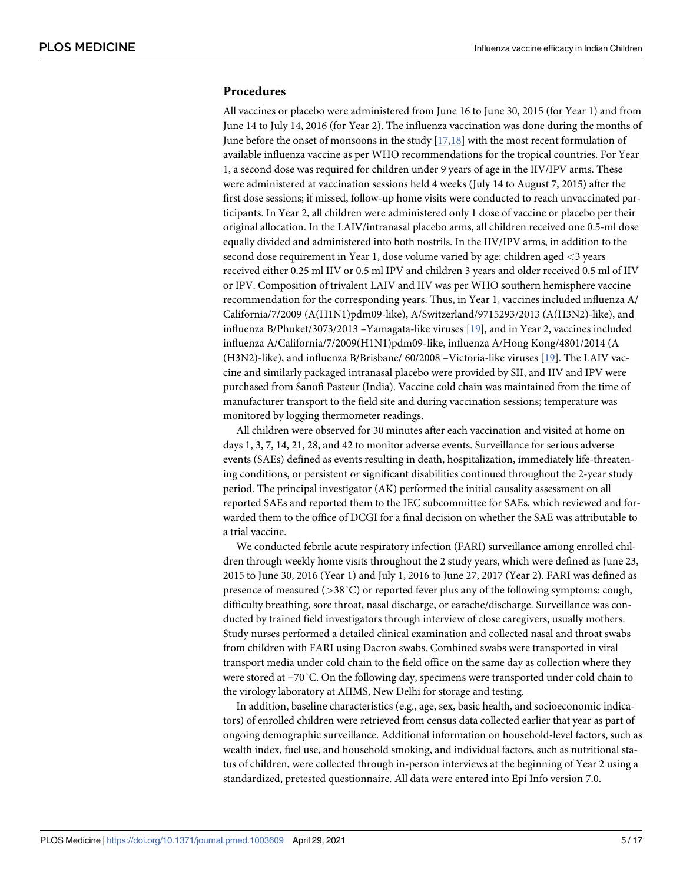#### <span id="page-4-0"></span>**Procedures**

All vaccines or placebo were administered from June 16 to June 30, 2015 (for Year 1) and from June 14 to July 14, 2016 (for Year 2). The influenza vaccination was done during the months of June before the onset of monsoons in the study  $[17,18]$  with the most recent formulation of available influenza vaccine as per WHO recommendations for the tropical countries. For Year 1, a second dose was required for children under 9 years of age in the IIV/IPV arms. These were administered at vaccination sessions held 4 weeks (July 14 to August 7, 2015) after the first dose sessions; if missed, follow-up home visits were conducted to reach unvaccinated participants. In Year 2, all children were administered only 1 dose of vaccine or placebo per their original allocation. In the LAIV/intranasal placebo arms, all children received one 0.5-ml dose equally divided and administered into both nostrils. In the IIV/IPV arms, in addition to the second dose requirement in Year 1, dose volume varied by age: children aged *<*3 years received either 0.25 ml IIV or 0.5 ml IPV and children 3 years and older received 0.5 ml of IIV or IPV. Composition of trivalent LAIV and IIV was per WHO southern hemisphere vaccine recommendation for the corresponding years. Thus, in Year 1, vaccines included influenza A/ California/7/2009 (A(H1N1)pdm09-like), A/Switzerland/9715293/2013 (A(H3N2)-like), and influenza B/Phuket/3073/2013 –Yamagata-like viruses [\[19\]](#page-16-0), and in Year 2, vaccines included influenza A/California/7/2009(H1N1)pdm09-like, influenza A/Hong Kong/4801/2014 (A (H3N2)-like), and influenza B/Brisbane/ 60/2008 –Victoria-like viruses [\[19\]](#page-16-0). The LAIV vaccine and similarly packaged intranasal placebo were provided by SII, and IIV and IPV were purchased from Sanofi Pasteur (India). Vaccine cold chain was maintained from the time of manufacturer transport to the field site and during vaccination sessions; temperature was monitored by logging thermometer readings.

All children were observed for 30 minutes after each vaccination and visited at home on days 1, 3, 7, 14, 21, 28, and 42 to monitor adverse events. Surveillance for serious adverse events (SAEs) defined as events resulting in death, hospitalization, immediately life-threatening conditions, or persistent or significant disabilities continued throughout the 2-year study period. The principal investigator (AK) performed the initial causality assessment on all reported SAEs and reported them to the IEC subcommittee for SAEs, which reviewed and forwarded them to the office of DCGI for a final decision on whether the SAE was attributable to a trial vaccine.

We conducted febrile acute respiratory infection (FARI) surveillance among enrolled children through weekly home visits throughout the 2 study years, which were defined as June 23, 2015 to June 30, 2016 (Year 1) and July 1, 2016 to June 27, 2017 (Year 2). FARI was defined as presence of measured (*>*38˚C) or reported fever plus any of the following symptoms: cough, difficulty breathing, sore throat, nasal discharge, or earache/discharge. Surveillance was conducted by trained field investigators through interview of close caregivers, usually mothers. Study nurses performed a detailed clinical examination and collected nasal and throat swabs from children with FARI using Dacron swabs. Combined swabs were transported in viral transport media under cold chain to the field office on the same day as collection where they were stored at −70˚C. On the following day, specimens were transported under cold chain to the virology laboratory at AIIMS, New Delhi for storage and testing.

In addition, baseline characteristics (e.g., age, sex, basic health, and socioeconomic indicators) of enrolled children were retrieved from census data collected earlier that year as part of ongoing demographic surveillance. Additional information on household-level factors, such as wealth index, fuel use, and household smoking, and individual factors, such as nutritional status of children, were collected through in-person interviews at the beginning of Year 2 using a standardized, pretested questionnaire. All data were entered into Epi Info version 7.0.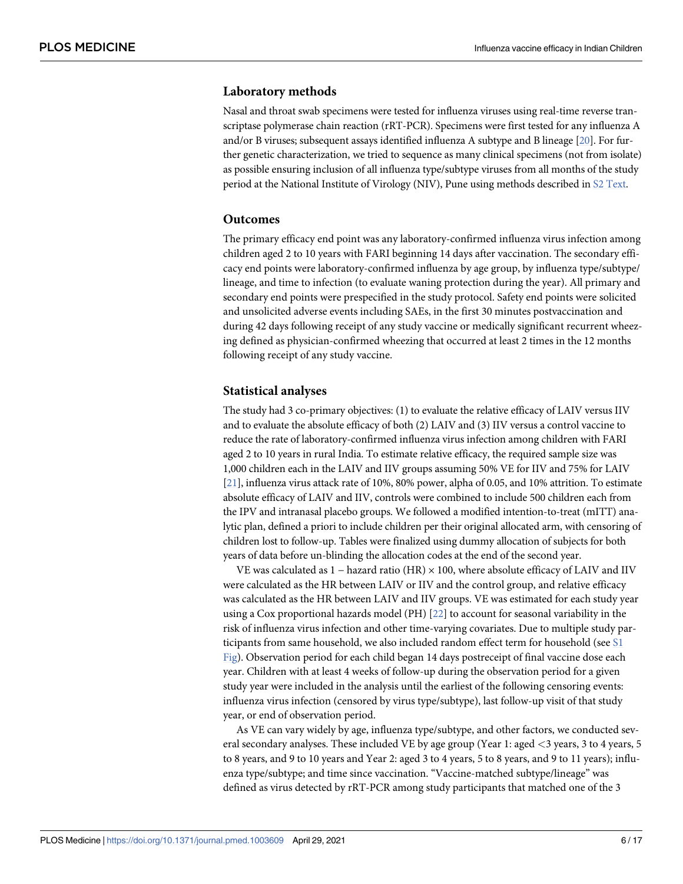#### <span id="page-5-0"></span>**Laboratory methods**

Nasal and throat swab specimens were tested for influenza viruses using real-time reverse transcriptase polymerase chain reaction (rRT-PCR). Specimens were first tested for any influenza A and/or B viruses; subsequent assays identified influenza A subtype and B lineage  $[20]$ . For further genetic characterization, we tried to sequence as many clinical specimens (not from isolate) as possible ensuring inclusion of all influenza type/subtype viruses from all months of the study period at the National Institute of Virology (NIV), Pune using methods described in [S2 Text](#page-14-0).

#### **Outcomes**

The primary efficacy end point was any laboratory-confirmed influenza virus infection among children aged 2 to 10 years with FARI beginning 14 days after vaccination. The secondary efficacy end points were laboratory-confirmed influenza by age group, by influenza type/subtype/ lineage, and time to infection (to evaluate waning protection during the year). All primary and secondary end points were prespecified in the study protocol. Safety end points were solicited and unsolicited adverse events including SAEs, in the first 30 minutes postvaccination and during 42 days following receipt of any study vaccine or medically significant recurrent wheezing defined as physician-confirmed wheezing that occurred at least 2 times in the 12 months following receipt of any study vaccine.

#### **Statistical analyses**

The study had 3 co-primary objectives: (1) to evaluate the relative efficacy of LAIV versus IIV and to evaluate the absolute efficacy of both (2) LAIV and (3) IIV versus a control vaccine to reduce the rate of laboratory-confirmed influenza virus infection among children with FARI aged 2 to 10 years in rural India. To estimate relative efficacy, the required sample size was 1,000 children each in the LAIV and IIV groups assuming 50% VE for IIV and 75% for LAIV [\[21\]](#page-16-0), influenza virus attack rate of 10%, 80% power, alpha of 0.05, and 10% attrition. To estimate absolute efficacy of LAIV and IIV, controls were combined to include 500 children each from the IPV and intranasal placebo groups. We followed a modified intention-to-treat (mITT) analytic plan, defined a priori to include children per their original allocated arm, with censoring of children lost to follow-up. Tables were finalized using dummy allocation of subjects for both years of data before un-blinding the allocation codes at the end of the second year.

VE was calculated as 1 − hazard ratio (HR) × 100, where absolute efficacy of LAIV and IIV were calculated as the HR between LAIV or IIV and the control group, and relative efficacy was calculated as the HR between LAIV and IIV groups. VE was estimated for each study year using a Cox proportional hazards model (PH)  $[22]$  to account for seasonal variability in the risk of influenza virus infection and other time-varying covariates. Due to multiple study participants from same household, we also included random effect term for household (see [S1](#page-14-0) [Fig\)](#page-14-0). Observation period for each child began 14 days postreceipt of final vaccine dose each year. Children with at least 4 weeks of follow-up during the observation period for a given study year were included in the analysis until the earliest of the following censoring events: influenza virus infection (censored by virus type/subtype), last follow-up visit of that study year, or end of observation period.

As VE can vary widely by age, influenza type/subtype, and other factors, we conducted several secondary analyses. These included VE by age group (Year 1: aged *<*3 years, 3 to 4 years, 5 to 8 years, and 9 to 10 years and Year 2: aged 3 to 4 years, 5 to 8 years, and 9 to 11 years); influenza type/subtype; and time since vaccination. "Vaccine-matched subtype/lineage" was defined as virus detected by rRT-PCR among study participants that matched one of the 3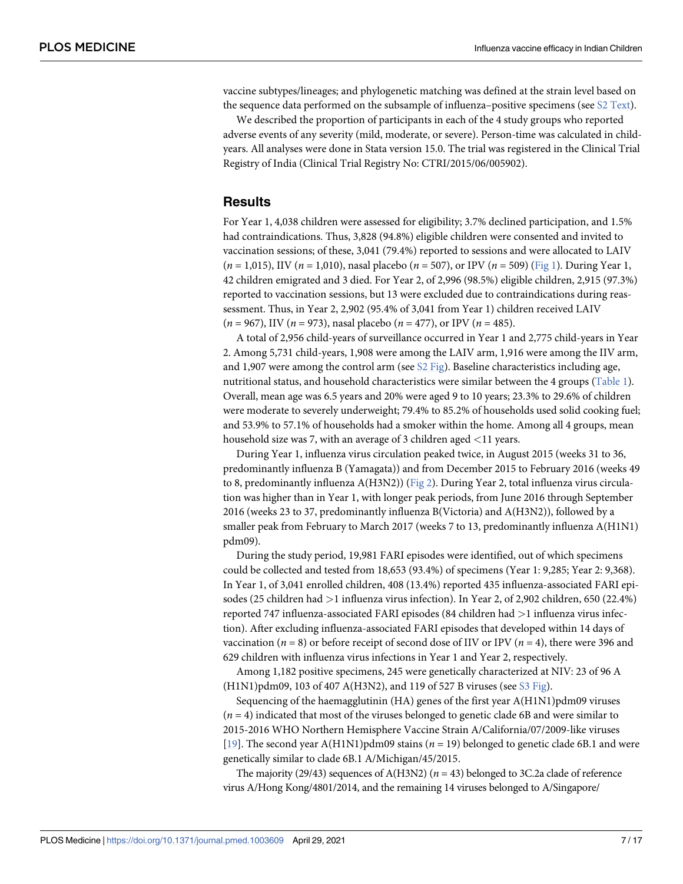<span id="page-6-0"></span>vaccine subtypes/lineages; and phylogenetic matching was defined at the strain level based on the sequence data performed on the subsample of influenza–positive specimens (see  $\S2$  Text).

We described the proportion of participants in each of the 4 study groups who reported adverse events of any severity (mild, moderate, or severe). Person-time was calculated in childyears. All analyses were done in Stata version 15.0. The trial was registered in the Clinical Trial Registry of India (Clinical Trial Registry No: CTRI/2015/06/005902).

#### **Results**

For Year 1, 4,038 children were assessed for eligibility; 3.7% declined participation, and 1.5% had contraindications. Thus, 3,828 (94.8%) eligible children were consented and invited to vaccination sessions; of these, 3,041 (79.4%) reported to sessions and were allocated to LAIV  $(n = 1,015)$ , IIV  $(n = 1,010)$ , nasal placebo  $(n = 507)$ , or IPV  $(n = 509)$  [\(Fig 1\)](#page-7-0). During Year 1, 42 children emigrated and 3 died. For Year 2, of 2,996 (98.5%) eligible children, 2,915 (97.3%) reported to vaccination sessions, but 13 were excluded due to contraindications during reassessment. Thus, in Year 2, 2,902 (95.4% of 3,041 from Year 1) children received LAIV  $(n = 967)$ , IIV  $(n = 973)$ , nasal placebo  $(n = 477)$ , or IPV  $(n = 485)$ .

A total of 2,956 child-years of surveillance occurred in Year 1 and 2,775 child-years in Year 2. Among 5,731 child-years, 1,908 were among the LAIV arm, 1,916 were among the IIV arm, and 1,907 were among the control arm (see  $S2$  Fig). Baseline characteristics including age, nutritional status, and household characteristics were similar between the 4 groups ([Table 1](#page-8-0)). Overall, mean age was 6.5 years and 20% were aged 9 to 10 years; 23.3% to 29.6% of children were moderate to severely underweight; 79.4% to 85.2% of households used solid cooking fuel; and 53.9% to 57.1% of households had a smoker within the home. Among all 4 groups, mean household size was 7, with an average of 3 children aged *<*11 years.

During Year 1, influenza virus circulation peaked twice, in August 2015 (weeks 31 to 36, predominantly influenza B (Yamagata)) and from December 2015 to February 2016 (weeks 49 to 8, predominantly influenza  $A(H3N2)$ ) ([Fig 2](#page-9-0)). During Year 2, total influenza virus circulation was higher than in Year 1, with longer peak periods, from June 2016 through September 2016 (weeks 23 to 37, predominantly influenza B(Victoria) and A(H3N2)), followed by a smaller peak from February to March 2017 (weeks 7 to 13, predominantly influenza A(H1N1) pdm09).

During the study period, 19,981 FARI episodes were identified, out of which specimens could be collected and tested from 18,653 (93.4%) of specimens (Year 1: 9,285; Year 2: 9,368). In Year 1, of 3,041 enrolled children, 408 (13.4%) reported 435 influenza-associated FARI episodes (25 children had *>*1 influenza virus infection). In Year 2, of 2,902 children, 650 (22.4%) reported 747 influenza-associated FARI episodes (84 children had *>*1 influenza virus infection). After excluding influenza-associated FARI episodes that developed within 14 days of vaccination ( $n = 8$ ) or before receipt of second dose of IIV or IPV ( $n = 4$ ), there were 396 and 629 children with influenza virus infections in Year 1 and Year 2, respectively.

Among 1,182 positive specimens, 245 were genetically characterized at NIV: 23 of 96 A (H1N1)pdm09, 103 of 407 A(H3N2), and 119 of 527 B viruses (see [S3 Fig\)](#page-14-0).

Sequencing of the haemagglutinin (HA) genes of the first year A(H1N1)pdm09 viruses  $(n = 4)$  indicated that most of the viruses belonged to genetic clade 6B and were similar to 2015-2016 WHO Northern Hemisphere Vaccine Strain A/California/07/2009-like viruses [\[19\]](#page-16-0). The second year A(H1N1)pdm09 stains ( $n = 19$ ) belonged to genetic clade 6B.1 and were genetically similar to clade 6B.1 A/Michigan/45/2015.

The majority (29/43) sequences of A(H3N2) ( $n = 43$ ) belonged to 3C.2a clade of reference virus A/Hong Kong/4801/2014, and the remaining 14 viruses belonged to A/Singapore/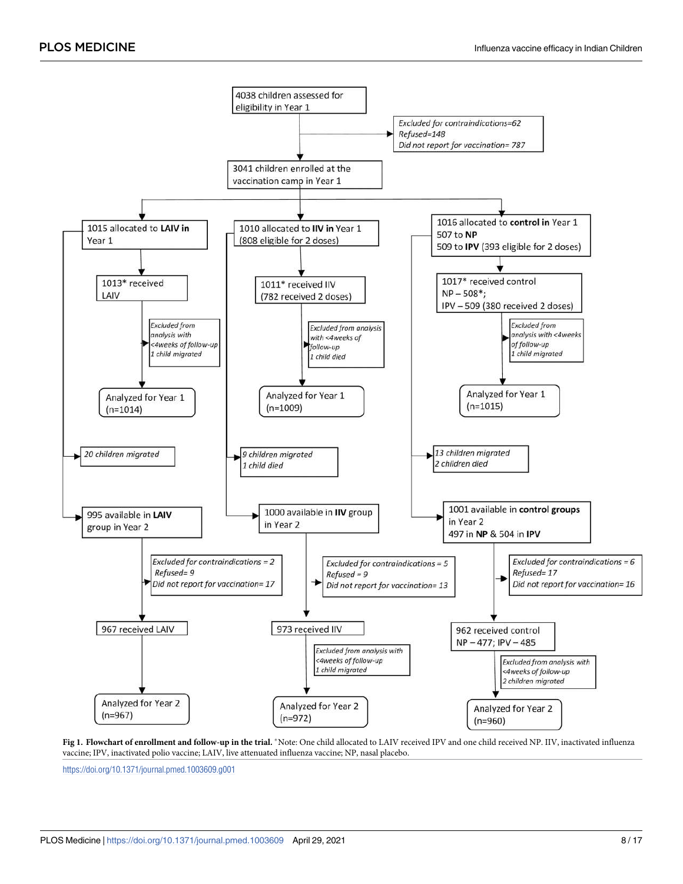<span id="page-7-0"></span>

[Fig 1. F](#page-6-0)lowchart of enrollment and follow-up in the trial. \*Note: One child allocated to LAIV received IPV and one child received NP. IIV, inactivated influenza vaccine; IPV, inactivated polio vaccine; LAIV, live attenuated influenza vaccine; NP, nasal placebo.

<https://doi.org/10.1371/journal.pmed.1003609.g001>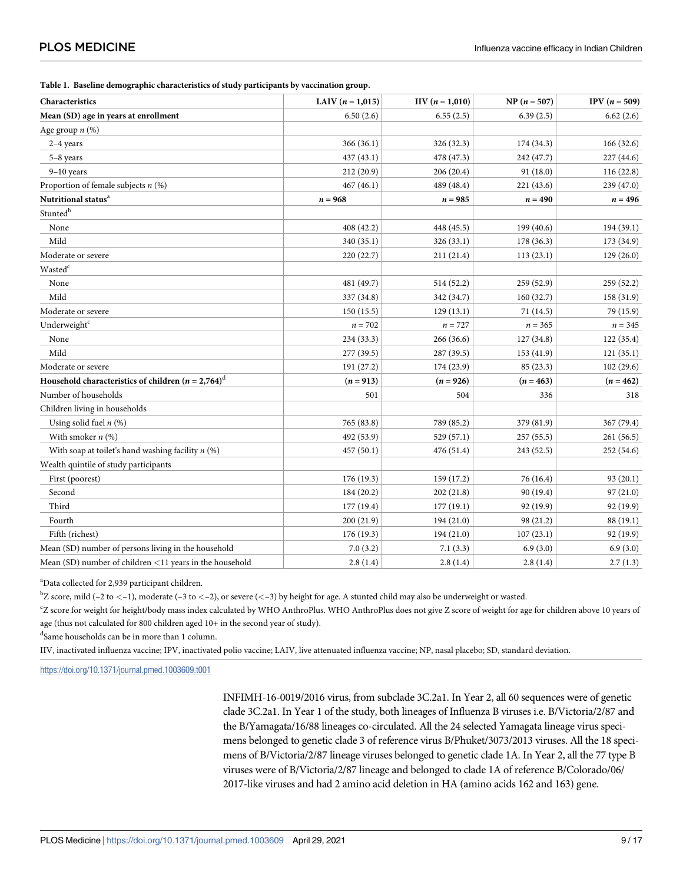<span id="page-8-0"></span>

| Characteristics                                                    | LAIV $(n = 1,015)$ | $IIV (n = 1,010)$ | $NP (n = 507)$ | IPV $(n=509)$ |
|--------------------------------------------------------------------|--------------------|-------------------|----------------|---------------|
| Mean (SD) age in years at enrollment                               | 6.50(2.6)          | 6.55(2.5)         | 6.39(2.5)      | 6.62(2.6)     |
| Age group $n$ (%)                                                  |                    |                   |                |               |
| $2-4$ years                                                        | 366(36.1)          | 326 (32.3)        | 174 (34.3)     | 166(32.6)     |
| 5-8 years                                                          | 437(43.1)          | 478 (47.3)        | 242 (47.7)     | 227(44.6)     |
| $9-10$ years                                                       | 212 (20.9)         | 206(20.4)         | 91 (18.0)      | 116(22.8)     |
| Proportion of female subjects $n$ (%)                              | 467(46.1)          | 489 (48.4)        | 221 (43.6)     | 239 (47.0)    |
| Nutritional status <sup>a</sup>                                    | $n = 968$          | $n = 985$         | $n = 490$      | $n = 496$     |
| $\operatorname{Stunted}^\mathrm{b}$                                |                    |                   |                |               |
| None                                                               | 408 (42.2)         | 448 (45.5)        | 199 (40.6)     | 194 (39.1)    |
| Mild                                                               | 340 (35.1)         | 326(33.1)         | 178 (36.3)     | 173 (34.9)    |
| Moderate or severe                                                 | 220(22.7)          | 211(21.4)         | 113(23.1)      | 129(26.0)     |
| Wasted <sup>c</sup>                                                |                    |                   |                |               |
| None                                                               | 481 (49.7)         | 514(52.2)         | 259 (52.9)     | 259(52.2)     |
| Mild                                                               | 337 (34.8)         | 342 (34.7)        | 160(32.7)      | 158 (31.9)    |
| Moderate or severe                                                 | 150(15.5)          | 129(13.1)         | 71 (14.5)      | 79 (15.9)     |
| Underweight <sup>c</sup>                                           | $n=702$            | $n = 727$         | $n = 365$      | $n = 345$     |
| None                                                               | 234 (33.3)         | 266(36.6)         | 127 (34.8)     | 122 (35.4)    |
| Mild                                                               | 277 (39.5)         | 287 (39.5)        | 153 (41.9)     | 121(35.1)     |
| Moderate or severe                                                 | 191 (27.2)         | 174(23.9)         | 85 (23.3)      | 102(29.6)     |
| Household characteristics of children ( $n = 2,764$ ) <sup>d</sup> | $(n = 913)$        | $(n = 926)$       | $(n = 463)$    | $(n = 462)$   |
| Number of households                                               | 501                | 504               | 336            | 318           |
| Children living in households                                      |                    |                   |                |               |
| Using solid fuel $n$ (%)                                           | 765 (83.8)         | 789 (85.2)        | 379 (81.9)     | 367 (79.4)    |
| With smoker $n$ (%)                                                | 492 (53.9)         | 529(57.1)         | 257(55.5)      | 261(56.5)     |
| With soap at toilet's hand washing facility $n$ (%)                | 457(50.1)          | 476 (51.4)        | 243 (52.5)     | 252 (54.6)    |
| Wealth quintile of study participants                              |                    |                   |                |               |
| First (poorest)                                                    | 176(19.3)          | 159(17.2)         | 76 (16.4)      | 93(20.1)      |
| Second                                                             | 184 (20.2)         | 202(21.8)         | 90 (19.4)      | 97(21.0)      |
| Third                                                              | 177 (19.4)         | 177(19.1)         | 92 (19.9)      | 92 (19.9)     |
| Fourth                                                             | 200 (21.9)         | 194(21.0)         | 98 (21.2)      | 88 (19.1)     |
| Fifth (richest)                                                    | 176(19.3)          | 194(21.0)         | 107(23.1)      | 92 (19.9)     |
| Mean (SD) number of persons living in the household                | 7.0(3.2)           | 7.1(3.3)          | 6.9(3.0)       | 6.9(3.0)      |
| Mean (SD) number of children $<$ 11 years in the household         | 2.8(1.4)           | 2.8(1.4)          | 2.8(1.4)       | 2.7(1.3)      |

<sup>a</sup>Data collected for 2,939 participant children.

b Z score, mild (–2 to *<*–1), moderate (–3 to *<*–2), or severe (*<*–3) by height for age. A stunted child may also be underweight or wasted.

c Z score for weight for height/body mass index calculated by WHO AnthroPlus. WHO AnthroPlus does not give Z score of weight for age for children above 10 years of age (thus not calculated for 800 children aged 10+ in the second year of study).

d Same households can be in more than 1 column.

IIV, inactivated influenza vaccine; IPV, inactivated polio vaccine; LAIV, live attenuated influenza vaccine; NP, nasal placebo; SD, standard deviation.

<https://doi.org/10.1371/journal.pmed.1003609.t001>

INFIMH-16-0019/2016 virus, from subclade 3C.2a1. In Year 2, all 60 sequences were of genetic clade 3C.2a1. In Year 1 of the study, both lineages of Influenza B viruses i.e. B/Victoria/2/87 and the B/Yamagata/16/88 lineages co-circulated. All the 24 selected Yamagata lineage virus specimens belonged to genetic clade 3 of reference virus B/Phuket/3073/2013 viruses. All the 18 specimens of B/Victoria/2/87 lineage viruses belonged to genetic clade 1A. In Year 2, all the 77 type B viruses were of B/Victoria/2/87 lineage and belonged to clade 1A of reference B/Colorado/06/ 2017-like viruses and had 2 amino acid deletion in HA (amino acids 162 and 163) gene.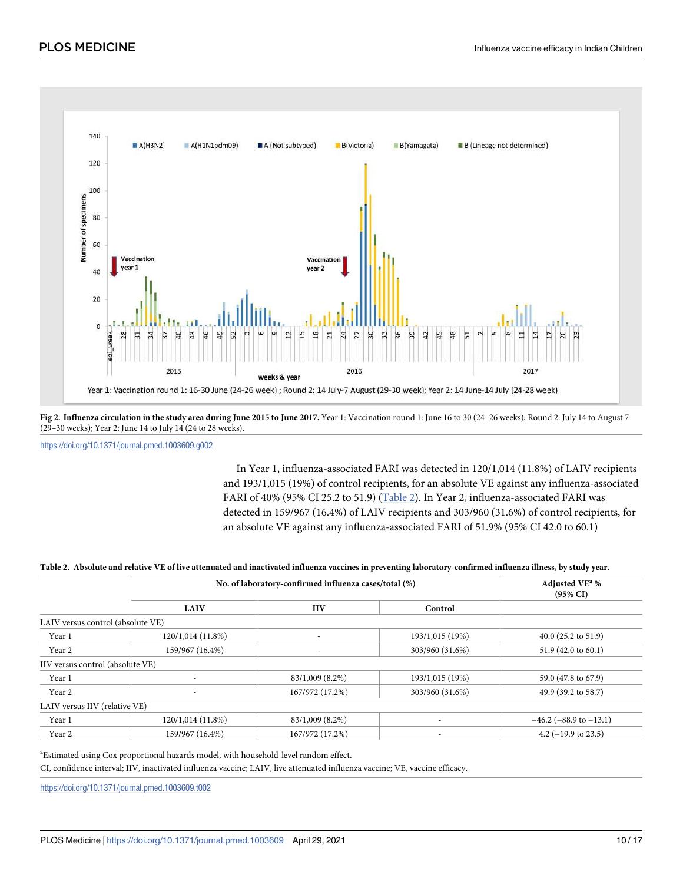<span id="page-9-0"></span>

**[Fig 2. I](#page-6-0)nfluenza circulation in the study area during June 2015 to June 2017.** Year 1: Vaccination round 1: June 16 to 30 (24–26 weeks); Round 2: July 14 to August 7 (29–30 weeks); Year 2: June 14 to July 14 (24 to 28 weeks).

<https://doi.org/10.1371/journal.pmed.1003609.g002>

In Year 1, influenza-associated FARI was detected in 120/1,014 (11.8%) of LAIV recipients and 193/1,015 (19%) of control recipients, for an absolute VE against any influenza-associated FARI of 40% (95% CI 25.2 to 51.9) (Table 2). In Year 2, influenza-associated FARI was detected in 159/967 (16.4%) of LAIV recipients and 303/960 (31.6%) of control recipients, for an absolute VE against any influenza-associated FARI of 51.9% (95% CI 42.0 to 60.1)

|                                   |                   | No. of laboratory-confirmed influenza cases/total (%) |                          |                                |  |  |  |
|-----------------------------------|-------------------|-------------------------------------------------------|--------------------------|--------------------------------|--|--|--|
|                                   | <b>LAIV</b>       | <b>IIV</b>                                            | Control                  |                                |  |  |  |
| LAIV versus control (absolute VE) |                   |                                                       |                          |                                |  |  |  |
| Year 1                            | 120/1,014 (11.8%) | $\overline{\phantom{a}}$                              | 193/1,015 (19%)          | 40.0 $(25.2 \text{ to } 51.9)$ |  |  |  |
| Year 2                            | 159/967 (16.4%)   |                                                       | 303/960 (31.6%)          | 51.9 $(42.0 \text{ to } 60.1)$ |  |  |  |
| IIV versus control (absolute VE)  |                   |                                                       |                          |                                |  |  |  |
| Year 1                            |                   | 83/1,009 (8.2%)                                       | 193/1,015 (19%)          | 59.0 (47.8 to 67.9)            |  |  |  |
| Year 2                            |                   | 167/972 (17.2%)                                       | 303/960 (31.6%)          | 49.9 (39.2 to 58.7)            |  |  |  |
| LAIV versus IIV (relative VE)     |                   |                                                       |                          |                                |  |  |  |
| Year 1                            | 120/1,014 (11.8%) | 83/1,009 (8.2%)                                       |                          | $-46.2$ ( $-88.9$ to $-13.1$ ) |  |  |  |
| Year 2                            | 159/967 (16.4%)   | 167/972 (17.2%)                                       | $\overline{\phantom{a}}$ | 4.2 $(-19.9 \text{ to } 23.5)$ |  |  |  |

#### <sup>a</sup>Estimated using Cox proportional hazards model, with household-level random effect.

CI, confidence interval; IIV, inactivated influenza vaccine; LAIV, live attenuated influenza vaccine; VE, vaccine efficacy.

<https://doi.org/10.1371/journal.pmed.1003609.t002>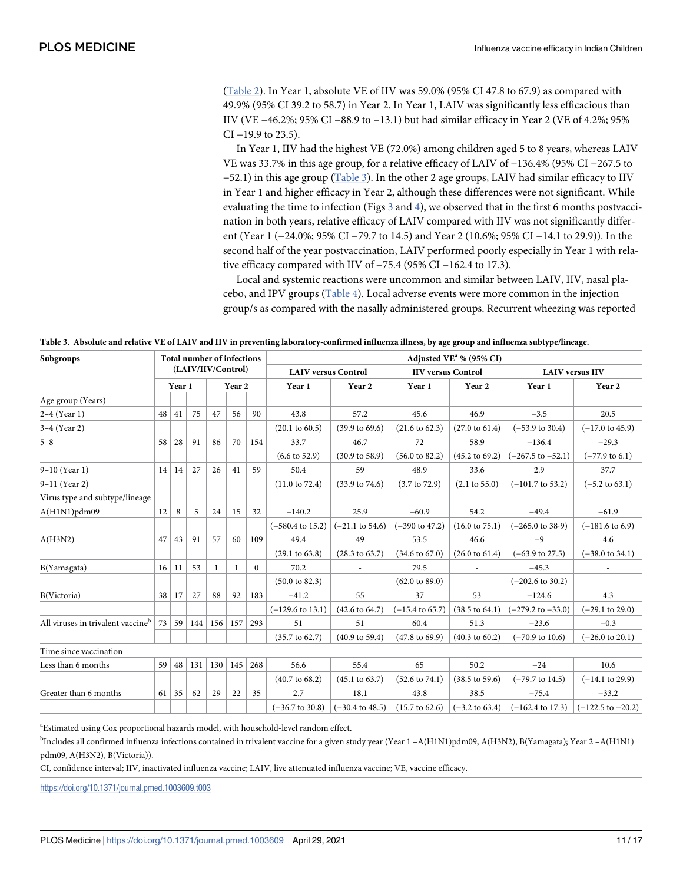<span id="page-10-0"></span>[\(Table 2\)](#page-9-0). In Year 1, absolute VE of IIV was 59.0% (95% CI 47.8 to 67.9) as compared with 49.9% (95% CI 39.2 to 58.7) in Year 2. In Year 1, LAIV was significantly less efficacious than IIV (VE −46.2%; 95% CI −88.9 to −13.1) but had similar efficacy in Year 2 (VE of 4.2%; 95% CI −19.9 to 23.5).

In Year 1, IIV had the highest VE (72.0%) among children aged 5 to 8 years, whereas LAIV VE was 33.7% in this age group, for a relative efficacy of LAIV of −136.4% (95% CI −267.5 to −52.1) in this age group (Table 3). In the other 2 age groups, LAIV had similar efficacy to IIV in Year 1 and higher efficacy in Year 2, although these differences were not significant. While evaluating the time to infection (Figs  $\frac{3}{4}$  $\frac{3}{4}$  $\frac{3}{4}$ , we observed that in the first 6 months postvaccination in both years, relative efficacy of LAIV compared with IIV was not significantly different (Year 1 (−24.0%; 95% CI −79.7 to 14.5) and Year 2 (10.6%; 95% CI −14.1 to 29.9)). In the second half of the year postvaccination, LAIV performed poorly especially in Year 1 with relative efficacy compared with IIV of −75.4 (95% CI −162.4 to 17.3).

Local and systemic reactions were uncommon and similar between LAIV, IIV, nasal placebo, and IPV groups ([Table 4\)](#page-12-0). Local adverse events were more common in the injection group/s as compared with the nasally administered groups. Recurrent wheezing was reported

| Subgroups                                     | <b>Total number of infections</b> |        |     |     |                   |          | Adjusted VE <sup>a</sup> % (95% CI) |                            |                            |                           |                              |                              |  |
|-----------------------------------------------|-----------------------------------|--------|-----|-----|-------------------|----------|-------------------------------------|----------------------------|----------------------------|---------------------------|------------------------------|------------------------------|--|
|                                               | (LAIV/IIV/Control)                |        |     |     |                   |          | <b>LAIV versus Control</b>          |                            | <b>IIV versus Control</b>  |                           | <b>LAIV</b> versus IIV       |                              |  |
|                                               |                                   | Year 1 |     |     | Year <sub>2</sub> |          | Year 1                              | Year 2                     | Year 1                     | Year 2                    | Year 1                       | Year 2                       |  |
| Age group (Years)                             |                                   |        |     |     |                   |          |                                     |                            |                            |                           |                              |                              |  |
| $2-4$ (Year 1)                                | 48                                | 41     | 75  | 47  | 56                | 90       | 43.8                                | 57.2                       | 45.6                       | 46.9                      | $-3.5$                       | 20.5                         |  |
| $3-4$ (Year 2)                                |                                   |        |     |     |                   |          | $(20.1 \text{ to } 60.5)$           | $(39.9 \text{ to } 69.6)$  | $(21.6 \text{ to } 62.3)$  | $(27.0 \text{ to } 61.4)$ | $(-53.9 \text{ to } 30.4)$   | $(-17.0 \text{ to } 45.9)$   |  |
| $5 - 8$                                       | 58                                | 28     | 91  | 86  | 70                | 154      | 33.7                                | 46.7                       | 72                         | 58.9                      | $-136.4$                     | $-29.3$                      |  |
|                                               |                                   |        |     |     |                   |          | $(6.6 \text{ to } 52.9)$            | $(30.9 \text{ to } 58.9)$  | $(56.0 \text{ to } 82.2)$  | $(45.2 \text{ to } 69.2)$ | $(-267.5 \text{ to } -52.1)$ | $(-77.9 \text{ to } 6.1)$    |  |
| 9-10 (Year 1)                                 | 14 <sup>1</sup>                   | 14     | 27  | 26  | 41                | 59       | 50.4                                | 59                         | 48.9                       | 33.6                      | 2.9                          | 37.7                         |  |
| 9–11 (Year 2)                                 |                                   |        |     |     |                   |          | $(11.0 \text{ to } 72.4)$           | $(33.9 \text{ to } 74.6)$  | $(3.7 \text{ to } 72.9)$   | $(2.1 \text{ to } 55.0)$  | $(-101.7 \text{ to } 53.2)$  | $(-5.2 \text{ to } 63.1)$    |  |
| Virus type and subtype/lineage                |                                   |        |     |     |                   |          |                                     |                            |                            |                           |                              |                              |  |
| $A(H1N1)$ pdm09                               | 12                                | 8      | 5   | 24  | 15                | 32       | $-140.2$                            | 25.9                       | $-60.9$                    | 54.2                      | $-49.4$                      | $-61.9$                      |  |
|                                               |                                   |        |     |     |                   |          | $(-580.4 \text{ to } 15.2)$         | $(-21.1 \text{ to } 54.6)$ | $(-390 \text{ to } 47.2)$  | $(16.0 \text{ to } 75.1)$ | $(-265.0 \text{ to } 38.9)$  | $(-181.6 \text{ to } 6.9)$   |  |
| A(H3N2)                                       | 47                                | 43     | 91  | 57  | 60                | 109      | 49.4                                | 49                         | 53.5                       | 46.6                      | $-9$                         | 4.6                          |  |
|                                               |                                   |        |     |     |                   |          | $(29.1 \text{ to } 63.8)$           | $(28.3 \text{ to } 63.7)$  | $(34.6 \text{ to } 67.0)$  | $(26.0 \text{ to } 61.4)$ | $(-63.9 \text{ to } 27.5)$   | $(-38.0 \text{ to } 34.1)$   |  |
| B(Yamagata)                                   | 16                                | 11     | 53  | 1   | 1                 | $\Omega$ | 70.2                                |                            | 79.5                       |                           | $-45.3$                      |                              |  |
|                                               |                                   |        |     |     |                   |          | $(50.0 \text{ to } 82.3)$           | $\overline{\phantom{a}}$   | $(62.0 \text{ to } 89.0)$  | L.                        | $(-202.6 \text{ to } 30.2)$  |                              |  |
| B(Victoria)                                   | 38                                | 17     | 27  | 88  | 92                | 183      | $-41.2$                             | 55                         | 37                         | 53                        | $-124.6$                     | 4.3                          |  |
|                                               |                                   |        |     |     |                   |          | $(-129.6 \text{ to } 13.1)$         | $(42.6 \text{ to } 64.7)$  | $(-15.4 \text{ to } 65.7)$ | $(38.5 \text{ to } 64.1)$ | $(-279.2 \text{ to } -33.0)$ | $(-29.1 \text{ to } 29.0)$   |  |
| All viruses in trivalent vaccine <sup>b</sup> | 73                                | 59     | 144 | 156 | <sup>157</sup>    | 293      | 51                                  | 51                         | 60.4                       | 51.3                      | $-23.6$                      | $-0.3$                       |  |
|                                               |                                   |        |     |     |                   |          | $(35.7 \text{ to } 62.7)$           | $(40.9 \text{ to } 59.4)$  | $(47.8 \text{ to } 69.9)$  | $(40.3 \text{ to } 60.2)$ | $(-70.9 \text{ to } 10.6)$   | $(-26.0 \text{ to } 20.1)$   |  |
| Time since vaccination                        |                                   |        |     |     |                   |          |                                     |                            |                            |                           |                              |                              |  |
| Less than 6 months                            | 59                                | 48     | 131 | 130 | 145               | 268      | 56.6                                | 55.4                       | 65                         | 50.2                      | $-24$                        | 10.6                         |  |
|                                               |                                   |        |     |     |                   |          | $(40.7 \text{ to } 68.2)$           | $(45.1 \text{ to } 63.7)$  | $(52.6 \text{ to } 74.1)$  | $(38.5 \text{ to } 59.6)$ | $(-79.7 \text{ to } 14.5)$   | $(-14.1 \text{ to } 29.9)$   |  |
| Greater than 6 months                         | 61                                | 35     | 62  | 29  | 22                | 35       | 2.7                                 | 18.1                       | 43.8                       | 38.5                      | $-75.4$                      | $-33.2$                      |  |
|                                               |                                   |        |     |     |                   |          | $(-36.7 \text{ to } 30.8)$          | $(-30.4 \text{ to } 48.5)$ | $(15.7 \text{ to } 62.6)$  | $(-3.2 \text{ to } 63.4)$ | $(-162.4 \text{ to } 17.3)$  | $(-122.5 \text{ to } -20.2)$ |  |

**Table 3. Absolute and relative VE of LAIV and IIV in preventing laboratory-confirmed influenza illness, by age group and influenza subtype/lineage.**

<sup>a</sup>Estimated using Cox proportional hazards model, with household-level random effect.

b Includes all confirmed influenza infections contained in trivalent vaccine for a given study year (Year 1 –A(H1N1)pdm09, A(H3N2), B(Yamagata); Year 2 –A(H1N1) pdm09, A(H3N2), B(Victoria)).

CI, confidence interval; IIV, inactivated influenza vaccine; LAIV, live attenuated influenza vaccine; VE, vaccine efficacy.

<https://doi.org/10.1371/journal.pmed.1003609.t003>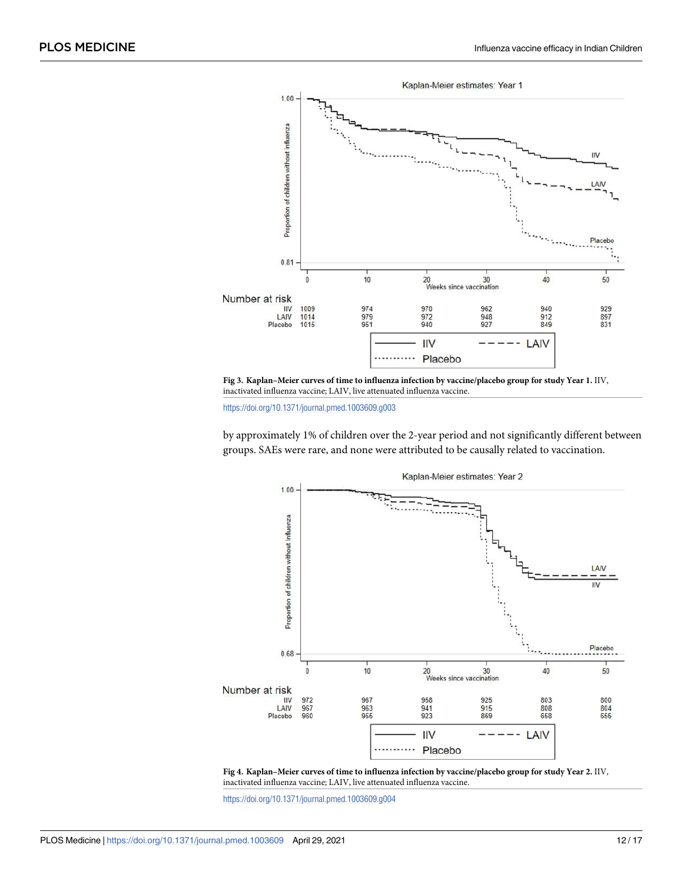<span id="page-11-0"></span>

**[Fig 3. K](#page-10-0)aplan–Meier curves of time to influenza infection by vaccine/placebo group for study Year 1.** IIV, inactivated influenza vaccine; LAIV, live attenuated influenza vaccine.

<https://doi.org/10.1371/journal.pmed.1003609.g003>

by approximately 1% of children over the 2-year period and not significantly different between groups. SAEs were rare, and none were attributed to be causally related to vaccination.





<https://doi.org/10.1371/journal.pmed.1003609.g004>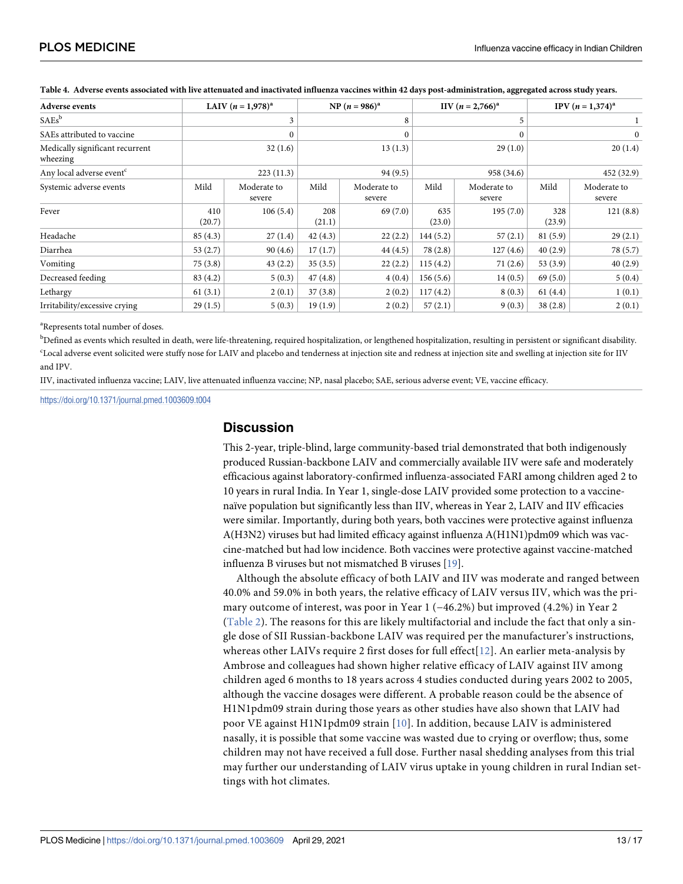| <b>Adverse events</b>                       |               | LAIV $(n = 1.978)^{a}$ |               | NP $(n = 986)^{a}$    |               | IIV $(n = 2,766)^{a}$ | IPV $(n = 1,374)^{a}$ |                       |  |
|---------------------------------------------|---------------|------------------------|---------------|-----------------------|---------------|-----------------------|-----------------------|-----------------------|--|
| $SAEs^b$                                    |               | 3                      | 8             |                       |               | 5                     |                       |                       |  |
| SAEs attributed to vaccine                  |               |                        |               |                       | $\theta$      |                       | $\mathbf{0}$          |                       |  |
| Medically significant recurrent<br>wheezing |               | 32(1.6)                | 13(1.3)       |                       | 29(1.0)       |                       | 20(1.4)               |                       |  |
| Any local adverse event <sup>c</sup>        |               | 223(11.3)              |               | 94(9.5)               |               | 958 (34.6)            |                       | 452 (32.9)            |  |
| Systemic adverse events                     | Mild          | Moderate to<br>severe  | Mild          | Moderate to<br>severe | Mild          | Moderate to<br>severe | Mild                  | Moderate to<br>severe |  |
| Fever                                       | 410<br>(20.7) | 106(5.4)               | 208<br>(21.1) | 69(7.0)               | 635<br>(23.0) | 195(7.0)              | 328<br>(23.9)         | 121(8.8)              |  |
| Headache                                    | 85(4.3)       | 27(1.4)                | 42(4.3)       | 22(2.2)               | 144(5.2)      | 57(2.1)               | 81(5.9)               | 29(2.1)               |  |
| Diarrhea                                    | 53 $(2.7)$    | 90(4.6)                | 17(1.7)       | 44(4.5)               | 78 (2.8)      | 127(4.6)              | 40(2.9)               | 78 (5.7)              |  |
| Vomiting                                    | 75(3.8)       | 43(2.2)                | 35(3.5)       | 22(2.2)               | 115(4.2)      | 71(2.6)               | 53(3.9)               | 40(2.9)               |  |
| Decreased feeding                           | 83(4.2)       | 5(0.3)                 | 47(4.8)       | 4(0.4)                | 156(5.6)      | 14(0.5)               | 69(5.0)               | 5(0.4)                |  |
| Lethargy                                    | 61(3.1)       | 2(0.1)                 | 37(3.8)       | 2(0.2)                | 117(4.2)      | 8(0.3)                | 61(4.4)               | 1(0.1)                |  |
| Irritability/excessive crying               | 29(1.5)       | 5(0.3)                 | 19(1.9)       | 2(0.2)                | 57(2.1)       | 9(0.3)                | 38(2.8)               | 2(0.1)                |  |

<span id="page-12-0"></span>**[Table 4.](#page-10-0) Adverse events associated with live attenuated and inactivated influenza vaccines within 42 days post-administration, aggregated across study years.**

<sup>a</sup>Represents total number of doses.

<sup>b</sup>Defined as events which resulted in death, were life-threatening, required hospitalization, or lengthened hospitalization, resulting in persistent or significant disability. c Local adverse event solicited were stuffy nose for LAIV and placebo and tenderness at injection site and redness at injection site and swelling at injection site for IIV and IPV.

IIV, inactivated influenza vaccine; LAIV, live attenuated influenza vaccine; NP, nasal placebo; SAE, serious adverse event; VE, vaccine efficacy.

<https://doi.org/10.1371/journal.pmed.1003609.t004>

#### **Discussion**

This 2-year, triple-blind, large community-based trial demonstrated that both indigenously produced Russian-backbone LAIV and commercially available IIV were safe and moderately efficacious against laboratory-confirmed influenza-associated FARI among children aged 2 to 10 years in rural India. In Year 1, single-dose LAIV provided some protection to a vaccinenaïve population but significantly less than IIV, whereas in Year 2, LAIV and IIV efficacies were similar. Importantly, during both years, both vaccines were protective against influenza A(H3N2) viruses but had limited efficacy against influenza A(H1N1)pdm09 which was vaccine-matched but had low incidence. Both vaccines were protective against vaccine-matched influenza B viruses but not mismatched B viruses [[19](#page-16-0)].

Although the absolute efficacy of both LAIV and IIV was moderate and ranged between 40.0% and 59.0% in both years, the relative efficacy of LAIV versus IIV, which was the primary outcome of interest, was poor in Year 1 (−46.2%) but improved (4.2%) in Year 2 ([Table 2\)](#page-9-0). The reasons for this are likely multifactorial and include the fact that only a single dose of SII Russian-backbone LAIV was required per the manufacturer's instructions, whereas other LAIVs require 2 first doses for full effect  $[12]$  $[12]$ . An earlier meta-analysis by Ambrose and colleagues had shown higher relative efficacy of LAIV against IIV among children aged 6 months to 18 years across 4 studies conducted during years 2002 to 2005, although the vaccine dosages were different. A probable reason could be the absence of H1N1pdm09 strain during those years as other studies have also shown that LAIV had poor VE against H1N1pdm09 strain [[10](#page-15-0)]. In addition, because LAIV is administered nasally, it is possible that some vaccine was wasted due to crying or overflow; thus, some children may not have received a full dose. Further nasal shedding analyses from this trial may further our understanding of LAIV virus uptake in young children in rural Indian settings with hot climates.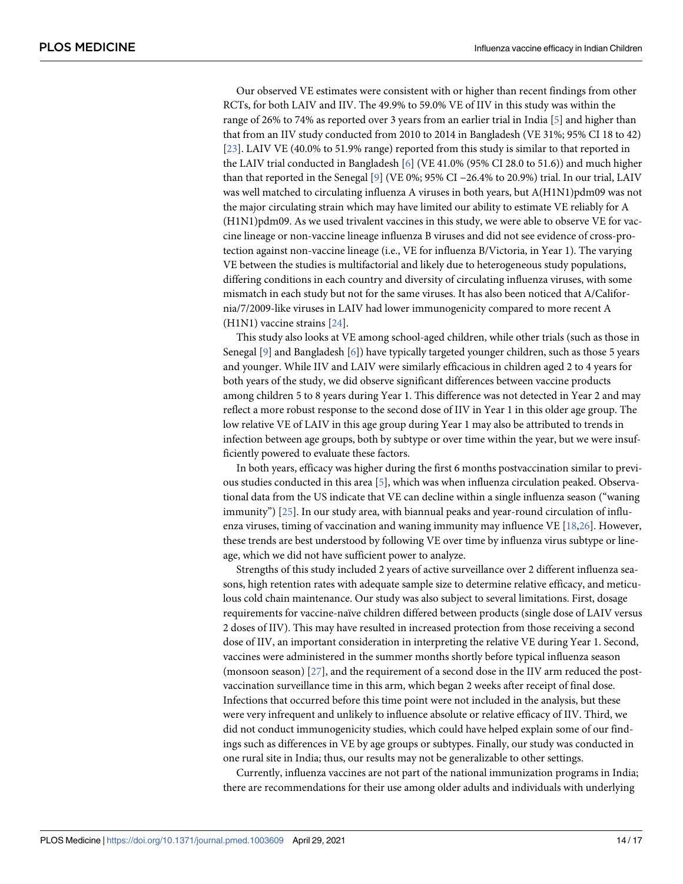<span id="page-13-0"></span>Our observed VE estimates were consistent with or higher than recent findings from other RCTs, for both LAIV and IIV. The 49.9% to 59.0% VE of IIV in this study was within the range of 26% to 74% as reported over 3 years from an earlier trial in India [[5\]](#page-15-0) and higher than that from an IIV study conducted from 2010 to 2014 in Bangladesh (VE 31%; 95% CI 18 to 42) [\[23\]](#page-16-0). LAIV VE (40.0% to 51.9% range) reported from this study is similar to that reported in the LAIV trial conducted in Bangladesh [\[6](#page-15-0)] (VE 41.0% (95% CI 28.0 to 51.6)) and much higher than that reported in the Senegal [[9](#page-15-0)] (VE 0%; 95% CI −26.4% to 20.9%) trial. In our trial, LAIV was well matched to circulating influenza A viruses in both years, but A(H1N1)pdm09 was not the major circulating strain which may have limited our ability to estimate VE reliably for A (H1N1)pdm09. As we used trivalent vaccines in this study, we were able to observe VE for vaccine lineage or non-vaccine lineage influenza B viruses and did not see evidence of cross-protection against non-vaccine lineage (i.e., VE for influenza B/Victoria, in Year 1). The varying VE between the studies is multifactorial and likely due to heterogeneous study populations, differing conditions in each country and diversity of circulating influenza viruses, with some mismatch in each study but not for the same viruses. It has also been noticed that A/California/7/2009-like viruses in LAIV had lower immunogenicity compared to more recent A (H1N1) vaccine strains [[24](#page-16-0)].

This study also looks at VE among school-aged children, while other trials (such as those in Senegal [[9\]](#page-15-0) and Bangladesh [[6](#page-15-0)]) have typically targeted younger children, such as those 5 years and younger. While IIV and LAIV were similarly efficacious in children aged 2 to 4 years for both years of the study, we did observe significant differences between vaccine products among children 5 to 8 years during Year 1. This difference was not detected in Year 2 and may reflect a more robust response to the second dose of IIV in Year 1 in this older age group. The low relative VE of LAIV in this age group during Year 1 may also be attributed to trends in infection between age groups, both by subtype or over time within the year, but we were insufficiently powered to evaluate these factors.

In both years, efficacy was higher during the first 6 months postvaccination similar to previous studies conducted in this area [[5](#page-15-0)], which was when influenza circulation peaked. Observational data from the US indicate that VE can decline within a single influenza season ("waning immunity") [[25](#page-16-0)]. In our study area, with biannual peaks and year-round circulation of influenza viruses, timing of vaccination and waning immunity may influence VE [[18,26\]](#page-16-0). However, these trends are best understood by following VE over time by influenza virus subtype or lineage, which we did not have sufficient power to analyze.

Strengths of this study included 2 years of active surveillance over 2 different influenza seasons, high retention rates with adequate sample size to determine relative efficacy, and meticulous cold chain maintenance. Our study was also subject to several limitations. First, dosage requirements for vaccine-naïve children differed between products (single dose of LAIV versus 2 doses of IIV). This may have resulted in increased protection from those receiving a second dose of IIV, an important consideration in interpreting the relative VE during Year 1. Second, vaccines were administered in the summer months shortly before typical influenza season (monsoon season) [[27](#page-16-0)], and the requirement of a second dose in the IIV arm reduced the postvaccination surveillance time in this arm, which began 2 weeks after receipt of final dose. Infections that occurred before this time point were not included in the analysis, but these were very infrequent and unlikely to influence absolute or relative efficacy of IIV. Third, we did not conduct immunogenicity studies, which could have helped explain some of our findings such as differences in VE by age groups or subtypes. Finally, our study was conducted in one rural site in India; thus, our results may not be generalizable to other settings.

Currently, influenza vaccines are not part of the national immunization programs in India; there are recommendations for their use among older adults and individuals with underlying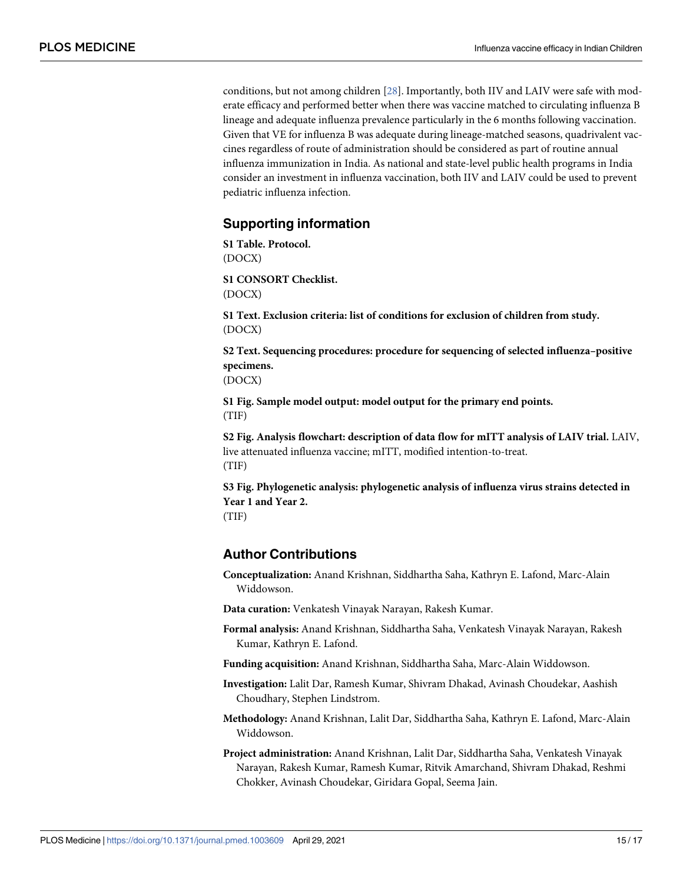<span id="page-14-0"></span>conditions, but not among children [\[28](#page-16-0)]. Importantly, both IIV and LAIV were safe with moderate efficacy and performed better when there was vaccine matched to circulating influenza B lineage and adequate influenza prevalence particularly in the 6 months following vaccination. Given that VE for influenza B was adequate during lineage-matched seasons, quadrivalent vaccines regardless of route of administration should be considered as part of routine annual influenza immunization in India. As national and state-level public health programs in India consider an investment in influenza vaccination, both IIV and LAIV could be used to prevent pediatric influenza infection.

#### **Supporting information**

**[S1 Table.](http://journals.plos.org/plosmedicine/article/asset?unique&id=info:doi/10.1371/journal.pmed.1003609.s001) Protocol.** (DOCX)

**[S1](http://journals.plos.org/plosmedicine/article/asset?unique&id=info:doi/10.1371/journal.pmed.1003609.s002) CONSORT Checklist.** *AU* : *PleaseprovideacaptionforS*1*ConsortChecklist* (DOCX)

**[S1 Text](http://journals.plos.org/plosmedicine/article/asset?unique&id=info:doi/10.1371/journal.pmed.1003609.s003). Exclusion criteria: list of conditions for exclusion of children from study.** (DOCX)

**[S2 Text](http://journals.plos.org/plosmedicine/article/asset?unique&id=info:doi/10.1371/journal.pmed.1003609.s004). Sequencing procedures: procedure for sequencing of selected influenza–positive specimens.**

(DOCX)

**[S1 Fig](http://journals.plos.org/plosmedicine/article/asset?unique&id=info:doi/10.1371/journal.pmed.1003609.s005). Sample model output: model output for the primary end points.** (TIF)

**[S2 Fig](http://journals.plos.org/plosmedicine/article/asset?unique&id=info:doi/10.1371/journal.pmed.1003609.s006). Analysis flowchart: description of data flow for mITT analysis of LAIV trial.** LAIV, live attenuated influenza vaccine; mITT, modified intention-to-treat. (TIF)

**[S3 Fig](http://journals.plos.org/plosmedicine/article/asset?unique&id=info:doi/10.1371/journal.pmed.1003609.s007). Phylogenetic analysis: phylogenetic analysis of influenza virus strains detected in Year 1 and Year 2.** (TIF)

#### **Author Contributions**

**Conceptualization:** Anand Krishnan, Siddhartha Saha, Kathryn E. Lafond, Marc-Alain Widdowson.

**Data curation:** Venkatesh Vinayak Narayan, Rakesh Kumar.

**Formal analysis:** Anand Krishnan, Siddhartha Saha, Venkatesh Vinayak Narayan, Rakesh Kumar, Kathryn E. Lafond.

**Funding acquisition:** Anand Krishnan, Siddhartha Saha, Marc-Alain Widdowson.

**Investigation:** Lalit Dar, Ramesh Kumar, Shivram Dhakad, Avinash Choudekar, Aashish Choudhary, Stephen Lindstrom.

**Methodology:** Anand Krishnan, Lalit Dar, Siddhartha Saha, Kathryn E. Lafond, Marc-Alain Widdowson.

**Project administration:** Anand Krishnan, Lalit Dar, Siddhartha Saha, Venkatesh Vinayak Narayan, Rakesh Kumar, Ramesh Kumar, Ritvik Amarchand, Shivram Dhakad, Reshmi Chokker, Avinash Choudekar, Giridara Gopal, Seema Jain.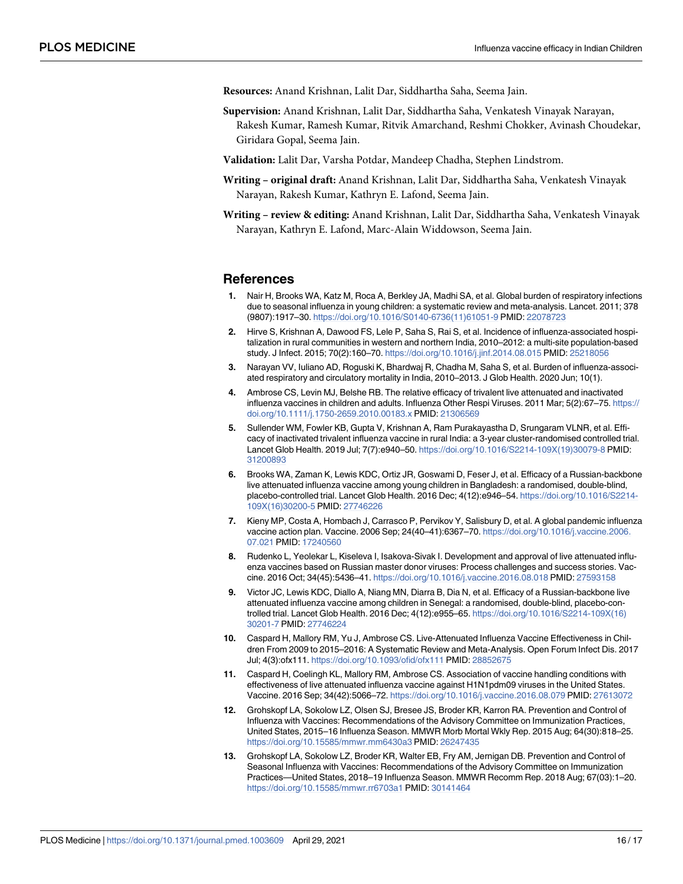<span id="page-15-0"></span>**Resources:** Anand Krishnan, Lalit Dar, Siddhartha Saha, Seema Jain.

**Supervision:** Anand Krishnan, Lalit Dar, Siddhartha Saha, Venkatesh Vinayak Narayan, Rakesh Kumar, Ramesh Kumar, Ritvik Amarchand, Reshmi Chokker, Avinash Choudekar, Giridara Gopal, Seema Jain.

**Validation:** Lalit Dar, Varsha Potdar, Mandeep Chadha, Stephen Lindstrom.

- **Writing original draft:** Anand Krishnan, Lalit Dar, Siddhartha Saha, Venkatesh Vinayak Narayan, Rakesh Kumar, Kathryn E. Lafond, Seema Jain.
- **Writing review & editing:** Anand Krishnan, Lalit Dar, Siddhartha Saha, Venkatesh Vinayak Narayan, Kathryn E. Lafond, Marc-Alain Widdowson, Seema Jain.

#### **References**

- **[1](#page-2-0).** Nair H, Brooks WA, Katz M, Roca A, Berkley JA, Madhi SA, et al. Global burden of respiratory infections due to seasonal influenza in young children: a systematic review and meta-analysis. Lancet. 2011; 378 (9807):1917–30. [https://doi.org/10.1016/S0140-6736\(11\)61051-9](https://doi.org/10.1016/S0140-6736(11)61051-9) PMID: [22078723](http://www.ncbi.nlm.nih.gov/pubmed/22078723)
- **2.** Hirve S, Krishnan A, Dawood FS, Lele P, Saha S, Rai S, et al. Incidence of influenza-associated hospitalization in rural communities in western and northern India, 2010–2012: a multi-site population-based study. J Infect. 2015; 70(2):160–70. <https://doi.org/10.1016/j.jinf.2014.08.015> PMID: [25218056](http://www.ncbi.nlm.nih.gov/pubmed/25218056)
- **[3](#page-2-0).** Narayan VV, Iuliano AD, Roguski K, Bhardwaj R, Chadha M, Saha S, et al. Burden of influenza-associated respiratory and circulatory mortality in India, 2010–2013. J Glob Health. 2020 Jun; 10(1).
- **[4](#page-2-0).** Ambrose CS, Levin MJ, Belshe RB. The relative efficacy of trivalent live attenuated and inactivated influenza vaccines in children and adults. Influenza Other Respi Viruses. 2011 Mar; 5(2):67–75. [https://](https://doi.org/10.1111/j.1750-2659.2010.00183.x) [doi.org/10.1111/j.1750-2659.2010.00183.x](https://doi.org/10.1111/j.1750-2659.2010.00183.x) PMID: [21306569](http://www.ncbi.nlm.nih.gov/pubmed/21306569)
- **[5](#page-2-0).** Sullender WM, Fowler KB, Gupta V, Krishnan A, Ram Purakayastha D, Srungaram VLNR, et al. Efficacy of inactivated trivalent influenza vaccine in rural India: a 3-year cluster-randomised controlled trial. Lancet Glob Health. 2019 Jul; 7(7):e940–50. [https://doi.org/10.1016/S2214-109X\(19\)30079-8](https://doi.org/10.1016/S2214-109X(19)30079-8) PMID: [31200893](http://www.ncbi.nlm.nih.gov/pubmed/31200893)
- **[6](#page-2-0).** Brooks WA, Zaman K, Lewis KDC, Ortiz JR, Goswami D, Feser J, et al. Efficacy of a Russian-backbone live attenuated influenza vaccine among young children in Bangladesh: a randomised, double-blind, placebo-controlled trial. Lancet Glob Health. 2016 Dec; 4(12):e946–54. [https://doi.org/10.1016/S2214-](https://doi.org/10.1016/S2214-109X(16)30200-5) [109X\(16\)30200-5](https://doi.org/10.1016/S2214-109X(16)30200-5) PMID: [27746226](http://www.ncbi.nlm.nih.gov/pubmed/27746226)
- **[7](#page-2-0).** Kieny MP, Costa A, Hombach J, Carrasco P, Pervikov Y, Salisbury D, et al. A global pandemic influenza vaccine action plan. Vaccine. 2006 Sep; 24(40–41):6367–70. [https://doi.org/10.1016/j.vaccine.2006.](https://doi.org/10.1016/j.vaccine.2006.07.021) [07.021](https://doi.org/10.1016/j.vaccine.2006.07.021) PMID: [17240560](http://www.ncbi.nlm.nih.gov/pubmed/17240560)
- **[8](#page-2-0).** Rudenko L, Yeolekar L, Kiseleva I, Isakova-Sivak I. Development and approval of live attenuated influenza vaccines based on Russian master donor viruses: Process challenges and success stories. Vaccine. 2016 Oct; 34(45):5436–41. <https://doi.org/10.1016/j.vaccine.2016.08.018> PMID: [27593158](http://www.ncbi.nlm.nih.gov/pubmed/27593158)
- **[9](#page-2-0).** Victor JC, Lewis KDC, Diallo A, Niang MN, Diarra B, Dia N, et al. Efficacy of a Russian-backbone live attenuated influenza vaccine among children in Senegal: a randomised, double-blind, placebo-controlled trial. Lancet Glob Health. 2016 Dec; 4(12):e955–65. [https://doi.org/10.1016/S2214-109X\(16\)](https://doi.org/10.1016/S2214-109X(16)30201-7) [30201-7](https://doi.org/10.1016/S2214-109X(16)30201-7) PMID: [27746224](http://www.ncbi.nlm.nih.gov/pubmed/27746224)
- **[10](#page-3-0).** Caspard H, Mallory RM, Yu J, Ambrose CS. Live-Attenuated Influenza Vaccine Effectiveness in Children From 2009 to 2015–2016: A Systematic Review and Meta-Analysis. Open Forum Infect Dis. 2017 Jul; 4(3):ofx111. <https://doi.org/10.1093/ofid/ofx111> PMID: [28852675](http://www.ncbi.nlm.nih.gov/pubmed/28852675)
- **[11](#page-3-0).** Caspard H, Coelingh KL, Mallory RM, Ambrose CS. Association of vaccine handling conditions with effectiveness of live attenuated influenza vaccine against H1N1pdm09 viruses in the United States. Vaccine. 2016 Sep; 34(42):5066–72. <https://doi.org/10.1016/j.vaccine.2016.08.079> PMID: [27613072](http://www.ncbi.nlm.nih.gov/pubmed/27613072)
- **[12](#page-3-0).** Grohskopf LA, Sokolow LZ, Olsen SJ, Bresee JS, Broder KR, Karron RA. Prevention and Control of Influenza with Vaccines: Recommendations of the Advisory Committee on Immunization Practices, United States, 2015–16 Influenza Season. MMWR Morb Mortal Wkly Rep. 2015 Aug; 64(30):818–25. <https://doi.org/10.15585/mmwr.mm6430a3> PMID: [26247435](http://www.ncbi.nlm.nih.gov/pubmed/26247435)
- **[13](#page-3-0).** Grohskopf LA, Sokolow LZ, Broder KR, Walter EB, Fry AM, Jernigan DB. Prevention and Control of Seasonal Influenza with Vaccines: Recommendations of the Advisory Committee on Immunization Practices—United States, 2018–19 Influenza Season. MMWR Recomm Rep. 2018 Aug; 67(03):1–20. <https://doi.org/10.15585/mmwr.rr6703a1> PMID: [30141464](http://www.ncbi.nlm.nih.gov/pubmed/30141464)